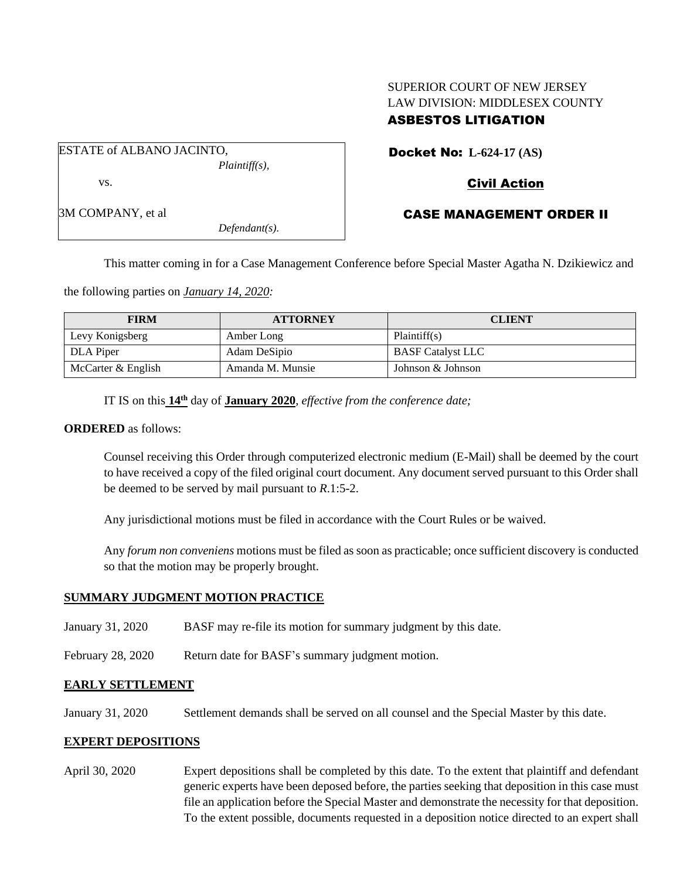### SUPERIOR COURT OF NEW JERSEY LAW DIVISION: MIDDLESEX COUNTY ASBESTOS LITIGATION

ESTATE of ALBANO JACINTO, *Plaintiff(s),* vs.

3M COMPANY, et al

*Defendant(s).*

Docket No: **L-624-17 (AS)**

# Civil Action

## CASE MANAGEMENT ORDER II

This matter coming in for a Case Management Conference before Special Master Agatha N. Dzikiewicz and

the following parties on *January 14, 2020:*

| <b>FIRM</b>        | <b>ATTORNEY</b>  | <b>CLIENT</b>            |
|--------------------|------------------|--------------------------|
| Levy Konigsberg    | Amber Long       | Plaintiff(s)             |
| DLA Piper          | Adam DeSipio     | <b>BASF Catalyst LLC</b> |
| McCarter & English | Amanda M. Munsie | Johnson & Johnson        |

IT IS on this **14th** day of **January 2020**, *effective from the conference date;*

#### **ORDERED** as follows:

Counsel receiving this Order through computerized electronic medium (E-Mail) shall be deemed by the court to have received a copy of the filed original court document. Any document served pursuant to this Order shall be deemed to be served by mail pursuant to *R*.1:5-2.

Any jurisdictional motions must be filed in accordance with the Court Rules or be waived.

Any *forum non conveniens* motions must be filed as soon as practicable; once sufficient discovery is conducted so that the motion may be properly brought.

### **SUMMARY JUDGMENT MOTION PRACTICE**

- January 31, 2020 BASF may re-file its motion for summary judgment by this date.
- February 28, 2020 Return date for BASF's summary judgment motion.

### **EARLY SETTLEMENT**

January 31, 2020 Settlement demands shall be served on all counsel and the Special Master by this date.

### **EXPERT DEPOSITIONS**

April 30, 2020 Expert depositions shall be completed by this date. To the extent that plaintiff and defendant generic experts have been deposed before, the parties seeking that deposition in this case must file an application before the Special Master and demonstrate the necessity for that deposition. To the extent possible, documents requested in a deposition notice directed to an expert shall